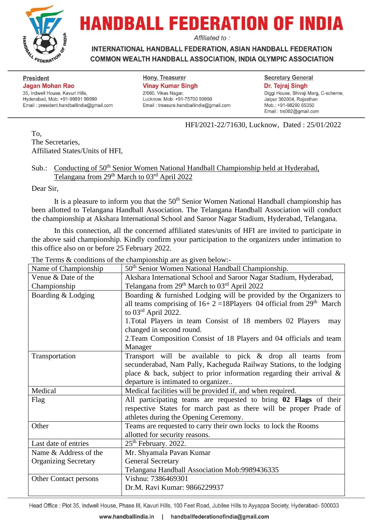

# **HANDBALL FEDERATION OF INDIA**

Affiliated to:

**INTERNATIONAL HANDBALL FEDERATION, ASIAN HANDBALL FEDERATION** COMMON WEALTH HANDBALL ASSOCIATION, INDIA OLYMPIC ASSOCIATION

**President Jagan Mohan Rao** 35, Indwell House, Kavuri Hills, Hyderabad, Mob: +91-99891 99999 Email: president.handballindia@gmail.com

**Hony. Treasurer Vinay Kumar Singh** 2/660, Vikas Nagar, Lucknow, Mob: +91-75700 99990 Email: treasure.handballindia@gmail.com

### **Secretary General** Dr. Tejraj Singh Diggi House, Shivaji Marg, C-scheme,

Jaipur 302004, Rajasthan Mob.: +91-98290 65350 Email: trs002@gmail.com

HFI/2021-22/71630, Lucknow, Dated : 25/01/2022

To, The Secretaries, Affiliated States/Units of HFI,

## Sub.: Conducting of 50<sup>th</sup> Senior Women National Handball Championship held at Hyderabad, Telangana from 29<sup>th</sup> March to 03<sup>rd</sup> April 2022

Dear Sir,

It is a pleasure to inform you that the  $50<sup>th</sup>$  Senior Women National Handball championship has been allotted to Telangana Handball Association. The Telangana Handball Association will conduct the championship at Akshara International School and Saroor Nagar Stadium, Hyderabad, Telangana.

In this connection, all the concerned affiliated states/units of HFI are invited to participate in the above said championship. Kindly confirm your participation to the organizers under intimation to this office also on or before 25 February 2022.

The Terms & conditions of the championship are as given below:-

| Name of Championship        | $\omega$ contributions of the enumpronship are as $\mathbb{R}^{1}$ on service<br>50 <sup>th</sup> Senior Women National Handball Championship. |
|-----------------------------|------------------------------------------------------------------------------------------------------------------------------------------------|
| Venue & Date of the         | Akshara International School and Saroor Nagar Stadium, Hyderabad,                                                                              |
| Championship                | Telangana from 29 <sup>th</sup> March to 03 <sup>rd</sup> April 2022                                                                           |
| Boarding & Lodging          | Boarding & furnished Lodging will be provided by the Organizers to                                                                             |
|                             | all teams comprising of $16+2=18$ Players 04 official from $29th$ March                                                                        |
|                             | to $03^{\text{rd}}$ April 2022.                                                                                                                |
|                             | 1. Total Players in team Consist of 18 members 02 Players<br>may                                                                               |
|                             | changed in second round.                                                                                                                       |
|                             | 2. Team Composition Consist of 18 Players and 04 officials and team                                                                            |
|                             | Manager                                                                                                                                        |
| Transportation              | Transport will be available to pick $&$ drop all teams from                                                                                    |
|                             | secunderabad, Nam Pally, Kacheguda Railway Stations, to the lodging                                                                            |
|                             | place & back, subject to prior information regarding their arrival $\&$                                                                        |
|                             | departure is intimated to organizer                                                                                                            |
| Medical                     | Medical facilities will be provided if, and when required.                                                                                     |
| Flag                        | All participating teams are requested to bring 02 Flags of their                                                                               |
|                             | respective States for march past as there will be proper Prade of                                                                              |
|                             | athletes during the Opening Ceremony.                                                                                                          |
| Other                       | Teams are requested to carry their own locks to lock the Rooms                                                                                 |
|                             | allotted for security reasons.                                                                                                                 |
| Last date of entries        | $25th$ February. 2022.                                                                                                                         |
| Name & Address of the       | Mr. Shyamala Pavan Kumar                                                                                                                       |
| <b>Organizing Secretary</b> | <b>General Secretary</b>                                                                                                                       |
|                             | Telangana Handball Association Mob:9989436335                                                                                                  |
| Other Contact persons       | Vishnu: 7386469301                                                                                                                             |
|                             | Dr.M. Ravi Kumar: 9866229937                                                                                                                   |

Head Office : Plot 35, Indwell House, Phase III, Kavuri Hills, 100 Feet Road, Jubilee Hills to Ayyappa Society, Hyderabad- 500033